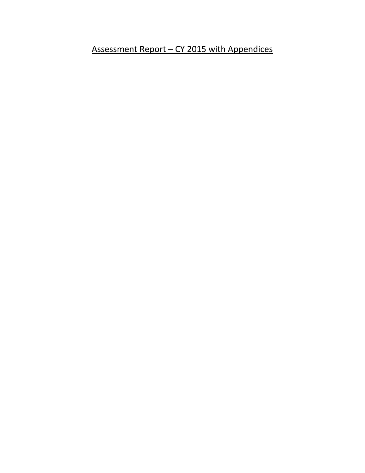Assessment Report - CY 2015 with Appendices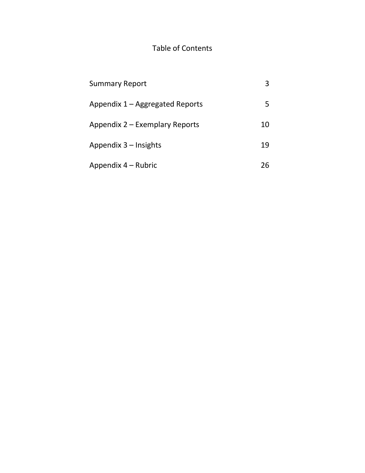# Table of Contents

| <b>Summary Report</b>           | 3  |
|---------------------------------|----|
| Appendix 1 – Aggregated Reports | 5  |
| Appendix 2 – Exemplary Reports  | 10 |
| Appendix $3$ – Insights         | 19 |
| Appendix 4 – Rubric             | 26 |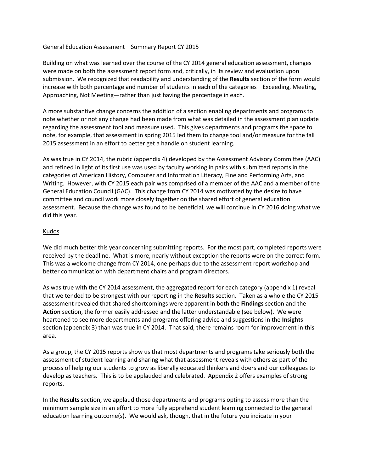#### General Education Assessment—Summary Report CY 2015

Building on what was learned over the course of the CY 2014 general education assessment, changes were made on both the assessment report form and, critically, in its review and evaluation upon submission. We recognized that readability and understanding of the **Results** section of the form would increase with both percentage and number of students in each of the categories—Exceeding, Meeting, Approaching, Not Meeting—rather than just having the percentage in each.

A more substantive change concerns the addition of a section enabling departments and programs to note whether or not any change had been made from what was detailed in the assessment plan update regarding the assessment tool and measure used. This gives departments and programs the space to note, for example, that assessment in spring 2015 led them to change tool and/or measure for the fall 2015 assessment in an effort to better get a handle on student learning.

As was true in CY 2014, the rubric (appendix 4) developed by the Assessment Advisory Committee (AAC) and refined in light of its first use was used by faculty working in pairs with submitted reports in the categories of American History, Computer and Information Literacy, Fine and Performing Arts, and Writing. However, with CY 2015 each pair was comprised of a member of the AAC and a member of the General Education Council (GAC). This change from CY 2014 was motivated by the desire to have committee and council work more closely together on the shared effort of general education assessment. Because the change was found to be beneficial, we will continue in CY 2016 doing what we did this year.

#### Kudos

We did much better this year concerning submitting reports. For the most part, completed reports were received by the deadline. What is more, nearly without exception the reports were on the correct form. This was a welcome change from CY 2014, one perhaps due to the assessment report workshop and better communication with department chairs and program directors.

As was true with the CY 2014 assessment, the aggregated report for each category (appendix 1) reveal that we tended to be strongest with our reporting in the **Results** section. Taken as a whole the CY 2015 assessment revealed that shared shortcomings were apparent in both the **Findings** section and the **Action** section, the former easily addressed and the latter understandable (see below). We were heartened to see more departments and programs offering advice and suggestions in the **Insights** section (appendix 3) than was true in CY 2014. That said, there remains room for improvement in this area.

As a group, the CY 2015 reports show us that most departments and programs take seriously both the assessment of student learning and sharing what that assessment reveals with others as part of the process of helping our students to grow as liberally educated thinkers and doers and our colleagues to develop as teachers. This is to be applauded and celebrated. Appendix 2 offers examples of strong reports.

In the **Results** section, we applaud those departments and programs opting to assess more than the minimum sample size in an effort to more fully apprehend student learning connected to the general education learning outcome(s). We would ask, though, that in the future you indicate in your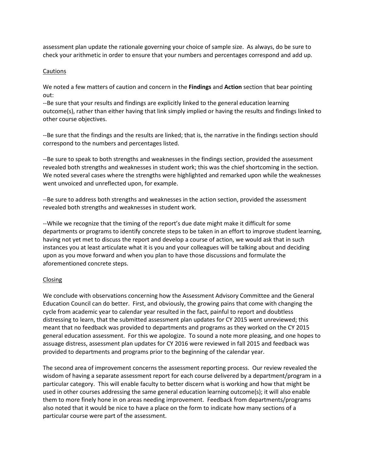assessment plan update the rationale governing your choice of sample size. As always, do be sure to check your arithmetic in order to ensure that your numbers and percentages correspond and add up.

#### Cautions

We noted a few matters of caution and concern in the **Findings** and **Action** section that bear pointing out:

--Be sure that your results and findings are explicitly linked to the general education learning outcome(s), rather than either having that link simply implied or having the results and findings linked to other course objectives.

--Be sure that the findings and the results are linked; that is, the narrative in the findings section should correspond to the numbers and percentages listed.

--Be sure to speak to both strengths and weaknesses in the findings section, provided the assessment revealed both strengths and weaknesses in student work; this was the chief shortcoming in the section. We noted several cases where the strengths were highlighted and remarked upon while the weaknesses went unvoiced and unreflected upon, for example.

--Be sure to address both strengths and weaknesses in the action section, provided the assessment revealed both strengths and weaknesses in student work.

--While we recognize that the timing of the report's due date might make it difficult for some departments or programs to identify concrete steps to be taken in an effort to improve student learning, having not yet met to discuss the report and develop a course of action, we would ask that in such instances you at least articulate what it is you and your colleagues will be talking about and deciding upon as you move forward and when you plan to have those discussions and formulate the aforementioned concrete steps.

#### Closing

We conclude with observations concerning how the Assessment Advisory Committee and the General Education Council can do better. First, and obviously, the growing pains that come with changing the cycle from academic year to calendar year resulted in the fact, painful to report and doubtless distressing to learn, that the submitted assessment plan updates for CY 2015 went unreviewed; this meant that no feedback was provided to departments and programs as they worked on the CY 2015 general education assessment. For this we apologize. To sound a note more pleasing, and one hopes to assuage distress, assessment plan updates for CY 2016 were reviewed in fall 2015 and feedback was provided to departments and programs prior to the beginning of the calendar year.

The second area of improvement concerns the assessment reporting process. Our review revealed the wisdom of having a separate assessment report for each course delivered by a department/program in a particular category. This will enable faculty to better discern what is working and how that might be used in other courses addressing the same general education learning outcome(s); it will also enable them to more finely hone in on areas needing improvement. Feedback from departments/programs also noted that it would be nice to have a place on the form to indicate how many sections of a particular course were part of the assessment.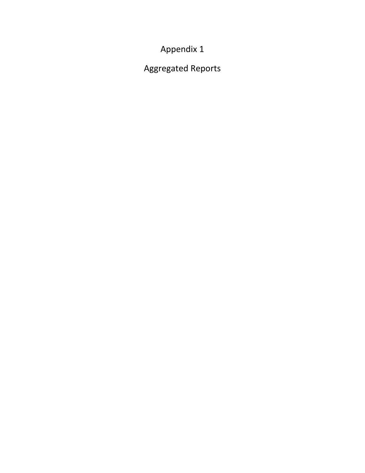Appendix 1

Aggregated Reports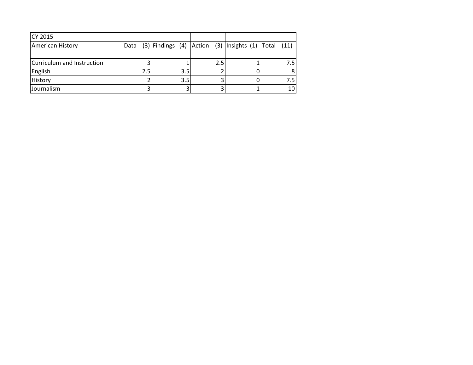| CY 2015                    |      |     |     |     |                                                  |       |      |
|----------------------------|------|-----|-----|-----|--------------------------------------------------|-------|------|
| <b>American History</b>    | Data |     |     |     | $(3)$ Findings $(4)$ Action $(3)$ Insights $(1)$ | Total | (11) |
|                            |      |     |     |     |                                                  |       |      |
| Curriculum and Instruction |      |     |     | 2.5 |                                                  |       | 7.5  |
| English                    |      | 2.5 | 3.5 |     |                                                  |       |      |
| History                    |      |     | 3.5 |     |                                                  |       | 7.5  |
| Journalism                 |      |     |     |     |                                                  |       | 10   |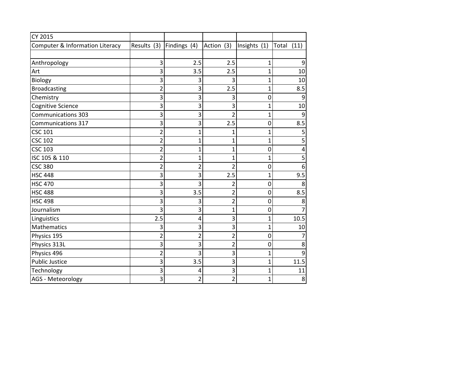| CY 2015                         |                         |                |                |                |               |
|---------------------------------|-------------------------|----------------|----------------|----------------|---------------|
| Computer & Information Literacy | Results (3)             | Findings (4)   | Action (3)     | Insights (1)   | Total<br>(11) |
|                                 |                         |                |                |                |               |
| Anthropology                    | 3                       | 2.5            | 2.5            | 1              | 9             |
| Art                             | 3                       | 3.5            | 2.5            | $\overline{1}$ | 10            |
| Biology                         | 3                       | 3              | 3              | 1              | 10            |
| <b>Broadcasting</b>             | $\overline{2}$          | 3              | 2.5            | $\overline{1}$ | 8.5           |
| Chemistry                       | 3                       | 3              | 3              | 0              | 9             |
| Cognitive Science               | 3                       | 3              | 3              | 1              | 10            |
| <b>Communications 303</b>       | 3                       | 3              | $\overline{2}$ | $\overline{1}$ | 9             |
| Communications 317              | 3                       | 3              | 2.5            | 0              | 8.5           |
| <b>CSC 101</b>                  | $\overline{2}$          | $\overline{1}$ | 1              | 1              | 5             |
| <b>CSC 102</b>                  | $\overline{2}$          | $\mathbf 1$    | 1              | 1              | 5             |
| <b>CSC 103</b>                  | 2                       | $\mathbf 1$    | $\mathbf 1$    | 0              | 4             |
| ISC 105 & 110                   | 2                       | $\overline{1}$ | 1              | 1              | 5             |
| <b>CSC 380</b>                  | $\overline{\mathbf{c}}$ | $\overline{2}$ | $\overline{2}$ | 0              | 6             |
| <b>HSC 448</b>                  | 3                       | 3              | 2.5            | $\mathbf{1}$   | 9.5           |
| <b>HSC 470</b>                  | 3                       | 3              | 2              | 0              | 8             |
| <b>HSC 488</b>                  | 3                       | 3.5            | $\overline{2}$ | 0              | 8.5           |
| <b>HSC 498</b>                  | 3                       | 3              | $\overline{2}$ | 0              | 8             |
| Journalism                      | 3                       | 3              | $\mathbf 1$    | 0              | 7             |
| Linguistics                     | 2.5                     | 4              | 3              | 1              | 10.5          |
| <b>Mathematics</b>              | 3                       | 3              | 3              | 1              | 10            |
| Physics 195                     | $\overline{2}$          | $\overline{2}$ | $\overline{2}$ | 0              | 7             |
| Physics 313L                    | 3                       | 3              | 2              | 0              | 8             |
| Physics 496                     | $\overline{2}$          | 3              | 3              | $\mathbf{1}$   | 9             |
| <b>Public Justice</b>           | 3                       | 3.5            | 3              | $\mathbf{1}$   | 11.5          |
| Technology                      | 3                       | 4              | 3              | 1              | 11            |
| AGS - Meteorology               | 3                       | 2              | $\overline{2}$ | $\mathbf 1$    | 8             |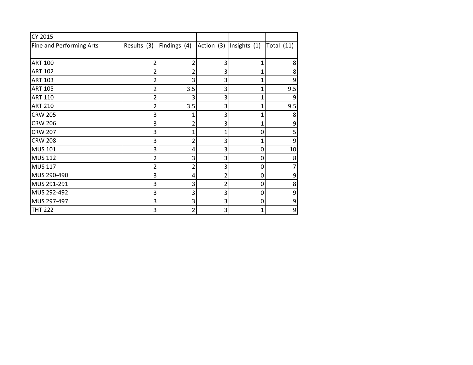| CY 2015                  |             |              |                |              |              |
|--------------------------|-------------|--------------|----------------|--------------|--------------|
| Fine and Performing Arts | Results (3) | Findings (4) | Action (3)     | Insights (1) | Total $(11)$ |
|                          |             |              |                |              |              |
| <b>ART 100</b>           | 2           | 2            | 3              | 1            | 8            |
| <b>ART 102</b>           |             |              | 3              | 1            | 8            |
| <b>ART 103</b>           | 2           | 3            | 3              | 1            | 9            |
| <b>ART 105</b>           | 2           | 3.5          | 3              | 1            | 9.5          |
| <b>ART 110</b>           | 2           | ς            | 3              | 1            | q            |
| <b>ART 210</b>           | 2           | 3.5          | 3              | 1            | 9.5          |
| <b>CRW 205</b>           | 3           | 1            | 3              | 1            | 8            |
| <b>CRW 206</b>           | 3           | 2            | 3              | 1            | 9            |
| <b>CRW 207</b>           | 3           | 1            | 1              | 0            |              |
| <b>CRW 208</b>           | 3           | 2            | 3              | 1            | 9            |
| <b>MUS 101</b>           | 3           | 4            | 3              | 0            | 10           |
| <b>MUS 112</b>           | 2           | 3            | 3              | 0            | 8            |
| <b>MUS 117</b>           | 2           | 2            | 3              | 0            |              |
| MUS 290-490              | 3           | 4            | $\overline{2}$ | 0            | 9            |
| MUS 291-291              | 3           | 3            | $\overline{2}$ | 0            | 8            |
| MUS 292-492              | 3           | 3            | 3              | 0            | 9            |
| MUS 297-497              | 3           | 3            | 3              | 0            | 9            |
| <b>THT 222</b>           | 3           | 2            | 3              | 1            | 9            |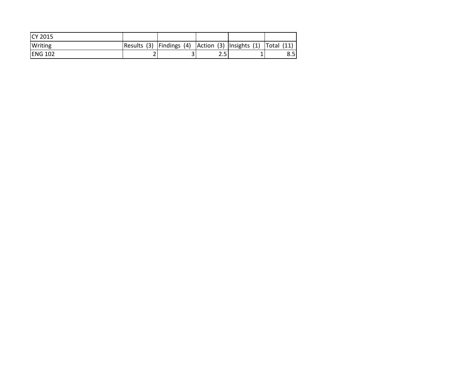| <b>ICY 2015</b> |             |                                                             |  |     |  |     |
|-----------------|-------------|-------------------------------------------------------------|--|-----|--|-----|
| <b>Writing</b>  | Results (3) | Findings (4) $ $ Action (3) $ $ Insights (1) $ $ Total (11) |  |     |  |     |
| <b>IENG 102</b> |             |                                                             |  | 2.5 |  | 8.5 |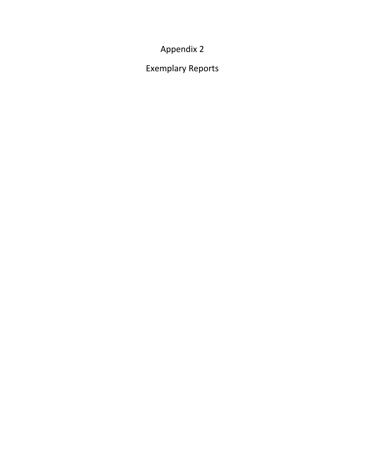Appendix 2

Exemplary Reports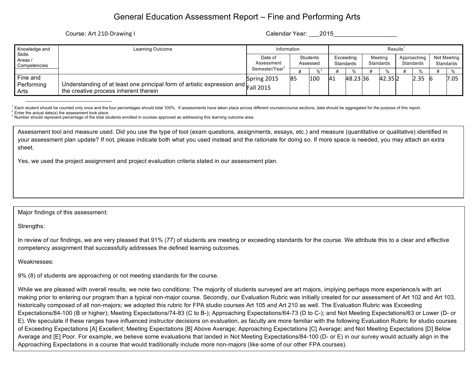## General Education Assessment Report – Fine and Performing Arts

Course: Art 210-Drawing I Course: Art 210-Drawing I Calendar Year: 2015

| Knowledge and                            | Learning Outcome                                                                                                                          | Information                | Results'             |     |                               |         |                      |        |                          |      |                          |      |
|------------------------------------------|-------------------------------------------------------------------------------------------------------------------------------------------|----------------------------|----------------------|-----|-------------------------------|---------|----------------------|--------|--------------------------|------|--------------------------|------|
| <b>Skills</b><br>Areas /<br>Competencies |                                                                                                                                           | Date of<br>Assessment      | Students<br>Assessed |     | Exceeding<br><b>Standards</b> |         | Meeting<br>Standards |        | Approaching<br>Standards |      | Not Meeting<br>Standards |      |
|                                          |                                                                                                                                           | Semester/Year <sup>2</sup> |                      |     |                               |         |                      | %      |                          |      |                          |      |
| Fine and                                 |                                                                                                                                           | Spring 2015                | <b>85</b>            | 100 | <b>41</b>                     | 48.2336 |                      | 42.352 |                          | 2.35 |                          | 7.05 |
| Performing<br>Arts                       | I Understanding of at least one principal form of artistic expression and $ _{\text{Fall 2015}}$<br>the creative process inherent therein |                            |                      |     |                               |         |                      |        |                          |      |                          |      |

<sup>1</sup> Each student should be counted only once and the four percentages should total 100%. If assessments have taken place across different courses/course sections, data should be aggregated for the purpose of this report.<br><sup></sup>

Assessment tool and measure used. Did you use the type of tool (exam questions, assignments, essays, etc.) and measure (quantitative or qualitative) identified in your assessment plan update? If not, please indicate both what you used instead and the rationale for doing so. If more space is needed, you may attach an extra sheet.

Yes, we used the project assignment and project evaluation criteria stated in our assessment plan.

Major findings of this assessment:

Strengths:

In review of our findings, we are very pleased that 91% (77) of students are meeting or exceeding standards for the course. We attribute this to a clear and effective competency assignment that successfully addresses the defined learning outcomes.

Weaknesses:

9% (8) of students are approaching or not meeting standards for the course.

While we are pleased with overall results, we note two conditions: The majority of students surveyed are art majors, implying perhaps more experience/s with art making prior to entering our program than a typical non-major course. Secondly, our Evaluation Rubric was initially created for our assessment of Art 102 and Art 103, historically composed of all non-majors; we adopted this rubric for FPA studio courses Art 105 and Art 210 as well. The Evaluation Rubric was Exceeding Expectations/84-100 (B or higher); Meeting Expectations/74-83 (C to B-); Approaching Expectations/64-73 (D to C-); and Not Meeting Expectations/63 or Lower (D- or E). We speculate if these ranges have influenced instructor decisions on evaluation, as faculty are more familiar with the following Evaluation Rubric for studio courses of Exceeding Expectations [A] Excellent; Meeting Expectations [B] Above Average; Approaching Expectations [C] Average; and Not Meeting Expectations [D] Below Average and [E] Poor. For example, we believe some evaluations that landed in Not Meeting Expectations/84-100 (D- or E) in our survey would actually align in the Approaching Expectations in a course that would traditionally include more non-majors (like some of our other FPA courses).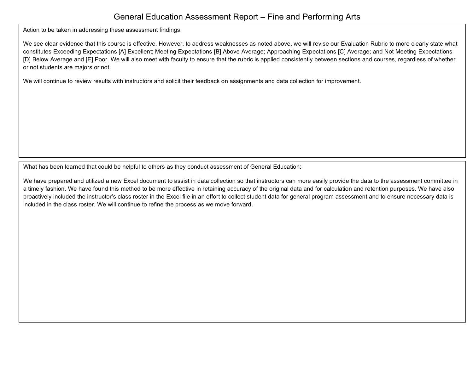### General Education Assessment Report – Fine and Performing Arts

Action to be taken in addressing these assessment findings:

We see clear evidence that this course is effective. However, to address weaknesses as noted above, we will revise our Evaluation Rubric to more clearly state what constitutes Exceeding Expectations [A] Excellent; Meeting Expectations [B] Above Average; Approaching Expectations [C] Average; and Not Meeting Expectations [D] Below Average and [E] Poor. We will also meet with faculty to ensure that the rubric is applied consistently between sections and courses, regardless of whether or not students are majors or not.

We will continue to review results with instructors and solicit their feedback on assignments and data collection for improvement.

What has been learned that could be helpful to others as they conduct assessment of General Education:

We have prepared and utilized a new Excel document to assist in data collection so that instructors can more easily provide the data to the assessment committee in a timely fashion. We have found this method to be more effective in retaining accuracy of the original data and for calculation and retention purposes. We have also proactively included the instructor's class roster in the Excel file in an effort to collect student data for general program assessment and to ensure necessary data is included in the class roster. We will continue to refine the process as we move forward.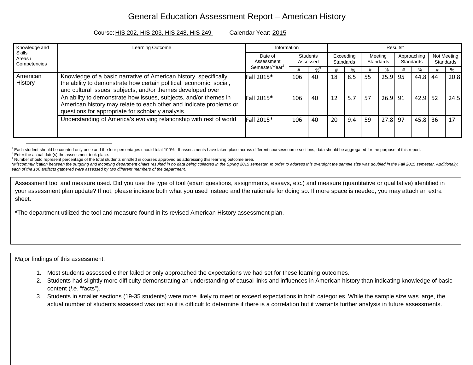## General Education Assessment Report – American History

#### Course:HIS 202, HIS 203, HIS 248, HIS 249 Calendar Year: 2015

| Knowledge and                            | <b>Learning Outcome</b>                                                                                                                                                                                | Information                | Results <sup>1</sup>        |               |                        |     |                      |           |                          |      |    |                          |
|------------------------------------------|--------------------------------------------------------------------------------------------------------------------------------------------------------------------------------------------------------|----------------------------|-----------------------------|---------------|------------------------|-----|----------------------|-----------|--------------------------|------|----|--------------------------|
| <b>Skills</b><br>Areas /<br>Competencies |                                                                                                                                                                                                        |                            | <b>Students</b><br>Assessed |               | Exceeding<br>Standards |     | Meeting<br>Standards |           | Approaching<br>Standards |      |    | Not Meeting<br>Standards |
|                                          |                                                                                                                                                                                                        | Semester/Year <sup>2</sup> |                             | $\frac{9}{3}$ |                        | %   |                      | $\%$      |                          | %    |    | %                        |
| American<br><b>History</b>               | Knowledge of a basic narrative of American history, specifically<br>the ability to demonstrate how certain political, economic, social,<br>and cultural issues, subjects, and/or themes developed over | Fall 2015*                 | 106                         | 40            | 18                     | 8.5 | 55                   | $25.9$ 95 |                          | 44.8 | 44 | 20.8                     |
|                                          | An ability to demonstrate how issues, subjects, and/or themes in<br>American history may relate to each other and indicate problems or<br>questions for appropriate for scholarly analysis.            | Fall 2015*                 | 106                         | 40            | 12                     | 5.7 | 57                   | $26.9$ 91 |                          | 42.9 | 52 | 24.5                     |
|                                          | Understanding of America's evolving relationship with rest of world                                                                                                                                    | Fall 2015*                 | 106                         | 40            | 20                     | 9.4 | 59                   | 27.8 97   |                          | 45.8 | 36 | 17                       |

<sup>1</sup> Each student should be counted only once and the four percentages should total 100%. If assessments have taken place across different courses/course sections, data should be aggregated for the purpose of this report.<br><sup></sup>

\*Miscommunication between the outgoing and incoming department chairs resulted in no data being collected in the Spring 2015 semester. In order to address this oversight the sample size was doubled in the Fall 2015 semeste *each of the 106 artifacts gathered were assessed by two different members of the department.* 

Assessment tool and measure used. Did you use the type of tool (exam questions, assignments, essays, etc.) and measure (quantitative or qualitative) identified in your assessment plan update? If not, please indicate both what you used instead and the rationale for doing so. If more space is needed, you may attach an extra sheet.

**\***The department utilized the tool and measure found in its revised American History assessment plan.

Major findings of this assessment:

- 1. Most students assessed either failed or only approached the expectations we had set for these learning outcomes.
- 2. Students had slightly more difficulty demonstrating an understanding of causal links and influences in American history than indicating knowledge of basic content (*i.e.* "facts").
- 3. Students in smaller sections (19-35 students) were more likely to meet or exceed expectations in both categories. While the sample size was large, the actual number of students assessed was not so it is difficult to determine if there is a correlation but it warrants further analysis in future assessments.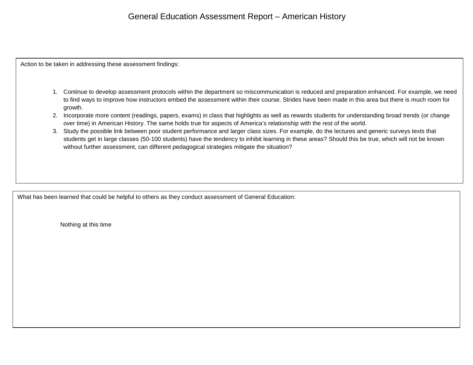### General Education Assessment Report – American History

Action to be taken in addressing these assessment findings:

- 1. Continue to develop assessment protocols within the department so miscommunication is reduced and preparation enhanced. For example, we need to find ways to improve how instructors embed the assessment within their course. Strides have been made in this area but there is much room for growth.
- 2. Incorporate more content (readings, papers, exams) in class that highlights as well as rewards students for understanding broad trends (or change over time) in American History. The same holds true for aspects of America's relationship with the rest of the world.
- 3. Study the possible link between poor student performance and larger class sizes. For example, do the lectures and generic surveys texts that students get in large classes (50-100 students) have the tendency to inhibit learning in these areas? Should this be true, which will not be known without further assessment, can different pedagogical strategies mitigate the situation?

What has been learned that could be helpful to others as they conduct assessment of General Education:

Nothing at this time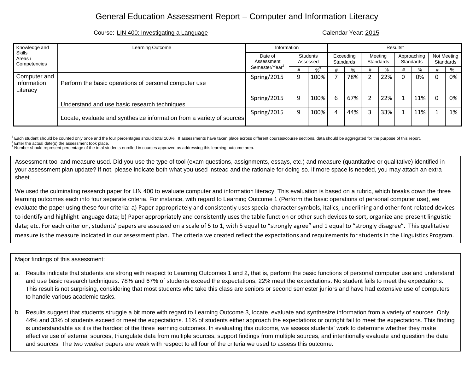#### Course: LIN 400: Investigating a Language Course: Calendar Year: 2015

| Knowledge and                           | Learning Outcome                                                      | Information                | Results <sup>1</sup> |                             |   |     |  |                        |          |                      |  |                          |  |                          |
|-----------------------------------------|-----------------------------------------------------------------------|----------------------------|----------------------|-----------------------------|---|-----|--|------------------------|----------|----------------------|--|--------------------------|--|--------------------------|
| Skills<br>Areas /<br>Competencies       |                                                                       | Date of<br>Assessment      |                      | <b>Students</b><br>Assessed |   |     |  | Exceeding<br>Standards |          | Meeting<br>Standards |  | Approaching<br>Standards |  | Not Meeting<br>Standards |
|                                         |                                                                       | Semester/Year <sup>2</sup> |                      | $\frac{9}{3}$               |   | %   |  |                        |          | %                    |  | %                        |  |                          |
| Computer and<br>Information<br>Literacy | Perform the basic operations of personal computer use                 | Spring/2015                | q                    | 100%                        |   | 78% |  | 22%                    | $\Omega$ | 0%                   |  | 0%                       |  |                          |
|                                         | Understand and use basic research techniques                          | Spring/2015                | q                    | 100%                        | 6 | 67% |  | 22%                    |          | 11%                  |  | 0%                       |  |                          |
|                                         | Locate, evaluate and synthesize information from a variety of sources | Spring/2015                | q                    | 100%                        | 4 | 44% |  | 33%                    |          | 11%                  |  | 1%                       |  |                          |

<sup>1</sup> Each student should be counted only once and the four percentages should total 100%. If assessments have taken place across different courses/course sections, data should be aggregated for the purpose of this report.<br><sup></sup>

Assessment tool and measure used. Did you use the type of tool (exam questions, assignments, essays, etc.) and measure (quantitative or qualitative) identified in your assessment plan update? If not, please indicate both what you used instead and the rationale for doing so. If more space is needed, you may attach an extra sheet.

We used the culminating research paper for LIN 400 to evaluate computer and information literacy. This evaluation is based on a rubric, which breaks down the three learning outcomes each into four separate criteria. For instance, with regard to Learning Outcome 1 (Perform the basic operations of personal computer use), we evaluate the paper using these four criteria: a) Paper appropriately and consistently uses special character symbols, italics, underlining and other font-related devices to identify and highlight language data; b) Paper appropriately and consistently uses the table function or other such devices to sort, organize and present linguistic data; etc. For each criterion, students' papers are assessed on a scale of 5 to 1, with 5 equal to "strongly agree" and 1 equal to "strongly disagree". This qualitative measure is the measure indicated in our assessment plan. The criteria we created reflect the expectations and requirements for students in the Linguistics Program.

Major findings of this assessment:

- a. Results indicate that students are strong with respect to Learning Outcomes 1 and 2, that is, perform the basic functions of personal computer use and understand and use basic research techniques. 78% and 67% of students exceed the expectations, 22% meet the expectations. No student fails to meet the expectations. This result is not surprising, considering that most students who take this class are seniors or second semester juniors and have had extensive use of computers to handle various academic tasks.
- b. Results suggest that students struggle a bit more with regard to Learning Outcome 3, locate, evaluate and synthesize information from a variety of sources. Only 44% and 33% of students exceed or meet the expectations. 11% of students either approach the expectations or outright fail to meet the expectations. This finding is understandable as it is the hardest of the three learning outcomes. In evaluating this outcome, we assess students' work to determine whether they make effective use of external sources, triangulate data from multiple sources, support findings from multiple sources, and intentionally evaluate and question the data and sources. The two weaker papers are weak with respect to all four of the criteria we used to assess this outcome.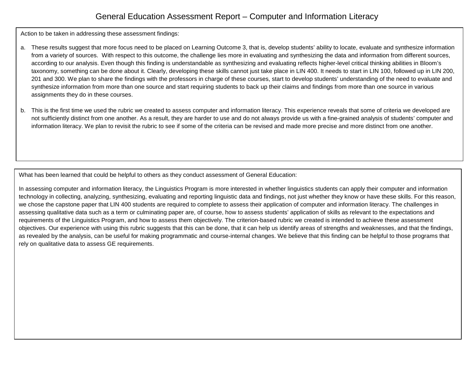Action to be taken in addressing these assessment findings:

- a. These results suggest that more focus need to be placed on Learning Outcome 3, that is, develop students' ability to locate, evaluate and synthesize information from a variety of sources. With respect to this outcome, the challenge lies more in evaluating and synthesizing the data and information from different sources, according to our analysis. Even though this finding is understandable as synthesizing and evaluating reflects higher-level critical thinking abilities in Bloom's taxonomy, something can be done about it. Clearly, developing these skills cannot just take place in LIN 400. It needs to start in LIN 100, followed up in LIN 200, 201 and 300. We plan to share the findings with the professors in charge of these courses, start to develop students' understanding of the need to evaluate and synthesize information from more than one source and start requiring students to back up their claims and findings from more than one source in various assignments they do in these courses.
- b. This is the first time we used the rubric we created to assess computer and information literacy. This experience reveals that some of criteria we developed are not sufficiently distinct from one another. As a result, they are harder to use and do not always provide us with a fine-grained analysis of students' computer and information literacy. We plan to revisit the rubric to see if some of the criteria can be revised and made more precise and more distinct from one another.

What has been learned that could be helpful to others as they conduct assessment of General Education:

In assessing computer and information literacy, the Linguistics Program is more interested in whether linguistics students can apply their computer and information technology in collecting, analyzing, synthesizing, evaluating and reporting linguistic data and findings, not just whether they know or have these skills. For this reason, we chose the capstone paper that LIN 400 students are required to complete to assess their application of computer and information literacy. The challenges in assessing qualitative data such as a term or culminating paper are, of course, how to assess students' application of skills as relevant to the expectations and requirements of the Linguistics Program, and how to assess them objectively. The criterion-based rubric we created is intended to achieve these assessment objectives. Our experience with using this rubric suggests that this can be done, that it can help us identify areas of strengths and weaknesses, and that the findings, as revealed by the analysis, can be useful for making programmatic and course-internal changes. We believe that this finding can be helpful to those programs that rely on qualitative data to assess GE requirements.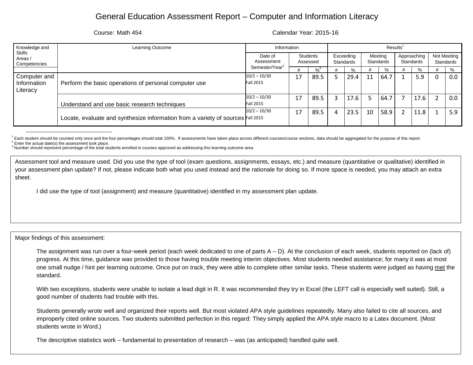#### Course: Math 454 Calendar Year: 2015-16

| Knowledge and                           | Learning Outcome                                                                  | Information                                          | Results <sup>1</sup> |                        |  |      |                      |                          |  |      |                          |     |
|-----------------------------------------|-----------------------------------------------------------------------------------|------------------------------------------------------|----------------------|------------------------|--|------|----------------------|--------------------------|--|------|--------------------------|-----|
| Skills<br>Areas /<br>Competencies       |                                                                                   | Date of<br><b>Students</b><br>Assessment<br>Assessed |                      | Exceeding<br>Standards |  |      | Meeting<br>Standards | Approaching<br>Standards |  |      | Not Meeting<br>Standards |     |
|                                         |                                                                                   | Semester/Year <sup>2</sup>                           |                      | $\frac{9}{3}$          |  | %    |                      | %                        |  | %    |                          | %   |
| Computer and<br>Information<br>Literacy | Perform the basic operations of personal computer use                             | $10/2 - 10/30$<br><b>Fall 2015</b>                   | 17                   | 89.5                   |  | 29.4 | 11                   | 64.7                     |  | 5.9  |                          | 0.0 |
|                                         | Understand and use basic research techniques                                      | $10/2 - 10/30$<br><b>Fall 2015</b>                   | 17                   | 89.5                   |  | 17.6 |                      | 64.7                     |  | 17.6 |                          | 0.0 |
|                                         | Locate, evaluate and synthesize information from a variety of sources $Fall 2015$ | $10/2 - 10/30$                                       | 17                   | 89.5                   |  | 23.5 | 10                   | 58.9                     |  | 11.8 |                          | 5.9 |

<sup>1</sup> Each student should be counted only once and the four percentages should total 100%. If assessments have taken place across different courses/course sections, data should be aggregated for the purpose of this report.<br><sup></sup>

Assessment tool and measure used. Did you use the type of tool (exam questions, assignments, essays, etc.) and measure (quantitative or qualitative) identified in your assessment plan update? If not, please indicate both what you used instead and the rationale for doing so. If more space is needed, you may attach an extra sheet.

I did use the type of tool (assignment) and measure (quantitative) identified in my assessment plan update.

Major findings of this assessment:

The assignment was run over a four-week period (each week dedicated to one of parts  $A - D$ ). At the conclusion of each week, students reported on (lack of) progress. At this time, guidance was provided to those having trouble meeting interim objectives. Most students needed assistance; for many it was at most one small nudge / hint per learning outcome. Once put on track, they were able to complete other similar tasks. These students were judged as having met the standard.

With two exceptions, students were unable to isolate a lead digit in R. It was recommended they try in Excel (the LEFT call is especially well suited). Still, a good number of students had trouble with this.

Students generally wrote well and organized their reports well. But most violated APA style guidelines repeatedly. Many also failed to cite all sources, and improperly cited online sources. Two students submitted perfection in this regard: They simply applied the APA style macro to a Latex document. (Most students wrote in Word.)

The descriptive statistics work – fundamental to presentation of research – was (as anticipated) handled quite well.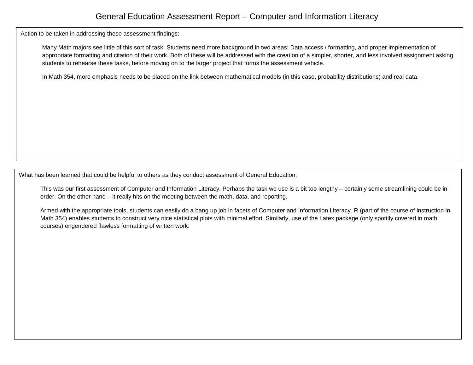Action to be taken in addressing these assessment findings:

Many Math majors see little of this sort of task. Students need more background in two areas: Data access / formatting, and proper implementation of appropriate formatting and citation of their work. Both of these will be addressed with the creation of a simpler, shorter, and less involved assignment asking students to rehearse these tasks, before moving on to the larger project that forms the assessment vehicle.

In Math 354, more emphasis needs to be placed on the link between mathematical models (in this case, probability distributions) and real data.

What has been learned that could be helpful to others as they conduct assessment of General Education:

This was our first assessment of Computer and Information Literacy. Perhaps the task we use is a bit too lengthy – certainly some streamlining could be in order. On the other hand – it really hits on the meeting between the math, data, and reporting.

Armed with the appropriate tools, students can easily do a bang up job in facets of Computer and Information Literacy. R (part of the course of instruction in Math 354) enables students to construct very nice statistical plots with minimal effort. Similarly, use of the Latex package (only spottily covered in math courses) engendered flawless formatting of written work.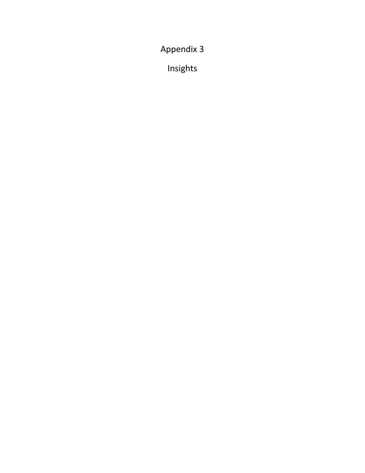Appendix 3

Insights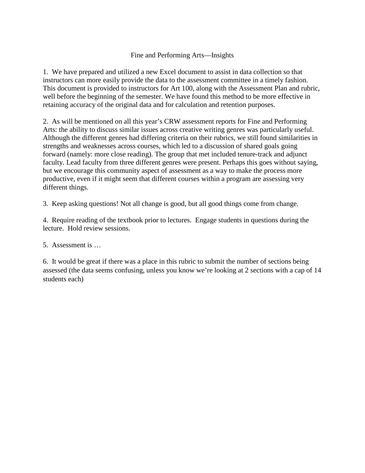### Fine and Performing Arts—Insights

1. We have prepared and utilized a new Excel document to assist in data collection so that instructors can more easily provide the data to the assessment committee in a timely fashion. This document is provided to instructors for Art 100, along with the Assessment Plan and rubric, well before the beginning of the semester. We have found this method to be more effective in retaining accuracy of the original data and for calculation and retention purposes.

2. As will be mentioned on all this year's CRW assessment reports for Fine and Performing Arts: the ability to discuss similar issues across creative writing genres was particularly useful. Although the different genres had differing criteria on their rubrics, we still found similarities in strengths and weaknesses across courses, which led to a discussion of shared goals going forward (namely: more close reading). The group that met included tenure-track and adjunct faculty. Lead faculty from three different genres were present. Perhaps this goes without saying, but we encourage this community aspect of assessment as a way to make the process more productive, even if it might seem that different courses within a program are assessing very different things.

3. Keep asking questions! Not all change is good, but all good things come from change.

4. Require reading of the textbook prior to lectures. Engage students in questions during the lecture. Hold review sessions.

### 5. Assessment is …

6. It would be great if there was a place in this rubric to submit the number of sections being assessed (the data seems confusing, unless you know we're looking at 2 sections with a cap of 14 students each)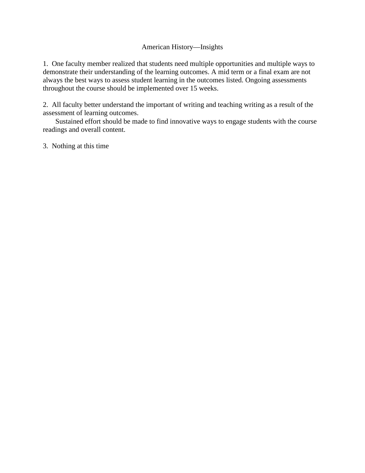### American History—Insights

1. One faculty member realized that students need multiple opportunities and multiple ways to demonstrate their understanding of the learning outcomes. A mid term or a final exam are not always the best ways to assess student learning in the outcomes listed. Ongoing assessments throughout the course should be implemented over 15 weeks.

2. All faculty better understand the important of writing and teaching writing as a result of the assessment of learning outcomes.

 Sustained effort should be made to find innovative ways to engage students with the course readings and overall content.

3. Nothing at this time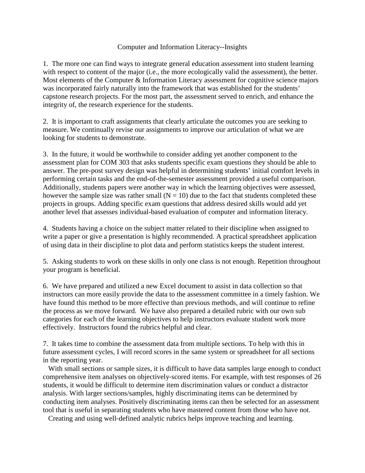### Computer and Information Literacy--Insights

1. The more one can find ways to integrate general education assessment into student learning with respect to content of the major (i.e., the more ecologically valid the assessment), the better. Most elements of the Computer & Information Literacy assessment for cognitive science majors was incorporated fairly naturally into the framework that was established for the students' capstone research projects. For the most part, the assessment served to enrich, and enhance the integrity of, the research experience for the students.

2. It is important to craft assignments that clearly articulate the outcomes you are seeking to measure. We continually revise our assignments to improve our articulation of what we are looking for students to demonstrate.

3. In the future, it would be worthwhile to consider adding yet another component to the assessment plan for COM 303 that asks students specific exam questions they should be able to answer. The pre-post survey design was helpful in determining students' initial comfort levels in performing certain tasks and the end-of-the-semester assessment provided a useful comparison. Additionally, students papers were another way in which the learning objectives were assessed, however the sample size was rather small  $(N = 10)$  due to the fact that students completed these projects in groups. Adding specific exam questions that address desired skills would add yet another level that assesses individual-based evaluation of computer and information literacy.

4. Students having a choice on the subject matter related to their discipline when assigned to write a paper or give a presentation is highly recommended. A practical spreadsheet application of using data in their discipline to plot data and perform statistics keeps the student interest.

5. Asking students to work on these skills in only one class is not enough. Repetition throughout your program is beneficial.

6. We have prepared and utilized a new Excel document to assist in data collection so that instructors can more easily provide the data to the assessment committee in a timely fashion. We have found this method to be more effective than previous methods, and will continue to refine the process as we move forward. We have also prepared a detailed rubric with our own sub categories for each of the learning objectives to help instructors evaluate student work more effectively. Instructors found the rubrics helpful and clear.

7. It takes time to combine the assessment data from multiple sections. To help with this in future assessment cycles, I will record scores in the same system or spreadsheet for all sections in the reporting year.

 With small sections or sample sizes, it is difficult to have data samples large enough to conduct comprehensive item analyses on objectively‐scored items. For example, with test responses of 26 students, it would be difficult to determine item discrimination values or conduct a distractor analysis. With larger sections/samples, highly discriminating items can be determined by conducting item analyses. Positively discriminating items can then be selected for an assessment tool that is useful in separating students who have mastered content from those who have not.

Creating and using well‐defined analytic rubrics helps improve teaching and learning.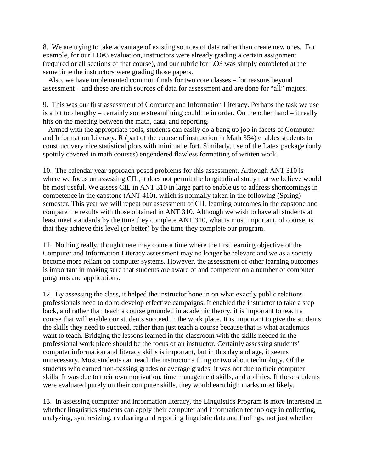8. We are trying to take advantage of existing sources of data rather than create new ones. For example, for our LO#3 evaluation, instructors were already grading a certain assignment (required or all sections of that course), and our rubric for LO3 was simply completed at the same time the instructors were grading those papers.

 Also, we have implemented common finals for two core classes – for reasons beyond assessment – and these are rich sources of data for assessment and are done for "all" majors.

9. This was our first assessment of Computer and Information Literacy. Perhaps the task we use is a bit too lengthy – certainly some streamlining could be in order. On the other hand – it really hits on the meeting between the math, data, and reporting.

 Armed with the appropriate tools, students can easily do a bang up job in facets of Computer and Information Literacy. R (part of the course of instruction in Math 354) enables students to construct very nice statistical plots with minimal effort. Similarly, use of the Latex package (only spottily covered in math courses) engendered flawless formatting of written work.

10. The calendar year approach posed problems for this assessment. Although ANT 310 is where we focus on assessing CIL, it does not permit the longitudinal study that we believe would be most useful. We assess CIL in ANT 310 in large part to enable us to address shortcomings in competence in the capstone (ANT 410), which is normally taken in the following (Spring) semester. This year we will repeat our assessment of CIL learning outcomes in the capstone and compare the results with those obtained in ANT 310. Although we wish to have all students at least meet standards by the time they complete ANT 310, what is most important, of course, is that they achieve this level (or better) by the time they complete our program.

11. Nothing really, though there may come a time where the first learning objective of the Computer and Information Literacy assessment may no longer be relevant and we as a society become more reliant on computer systems. However, the assessment of other learning outcomes is important in making sure that students are aware of and competent on a number of computer programs and applications.

12. By assessing the class, it helped the instructor hone in on what exactly public relations professionals need to do to develop effective campaigns. It enabled the instructor to take a step back, and rather than teach a course grounded in academic theory, it is important to teach a course that will enable our students succeed in the work place. It is important to give the students the skills they need to succeed, rather than just teach a course because that is what academics want to teach. Bridging the lessons learned in the classroom with the skills needed in the professional work place should be the focus of an instructor. Certainly assessing students' computer information and literacy skills is important, but in this day and age, it seems unnecessary. Most students can teach the instructor a thing or two about technology. Of the students who earned non-passing grades or average grades, it was not due to their computer skills. It was due to their own motivation, time management skills, and abilities. If these students were evaluated purely on their computer skills, they would earn high marks most likely.

13. In assessing computer and information literacy, the Linguistics Program is more interested in whether linguistics students can apply their computer and information technology in collecting, analyzing, synthesizing, evaluating and reporting linguistic data and findings, not just whether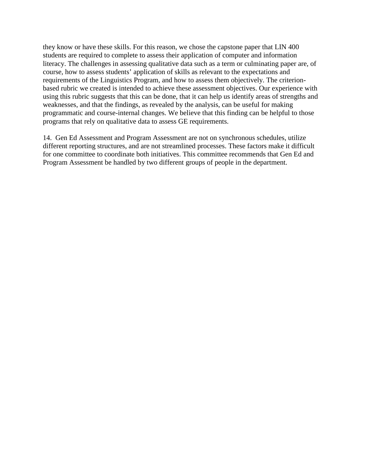they know or have these skills. For this reason, we chose the capstone paper that LIN 400 students are required to complete to assess their application of computer and information literacy. The challenges in assessing qualitative data such as a term or culminating paper are, of course, how to assess students' application of skills as relevant to the expectations and requirements of the Linguistics Program, and how to assess them objectively. The criterionbased rubric we created is intended to achieve these assessment objectives. Our experience with using this rubric suggests that this can be done, that it can help us identify areas of strengths and weaknesses, and that the findings, as revealed by the analysis, can be useful for making programmatic and course-internal changes. We believe that this finding can be helpful to those programs that rely on qualitative data to assess GE requirements.

14. Gen Ed Assessment and Program Assessment are not on synchronous schedules, utilize different reporting structures, and are not streamlined processes. These factors make it difficult for one committee to coordinate both initiatives. This committee recommends that Gen Ed and Program Assessment be handled by two different groups of people in the department.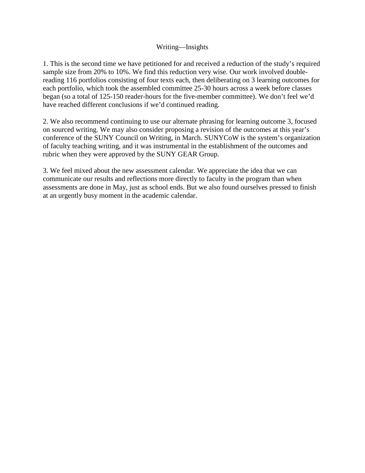### Writing—Insights

1. This is the second time we have petitioned for and received a reduction of the study's required sample size from 20% to 10%. We find this reduction very wise. Our work involved doublereading 116 portfolios consisting of four texts each, then deliberating on 3 learning outcomes for each portfolio, which took the assembled committee 25-30 hours across a week before classes began (so a total of 125-150 reader-hours for the five-member committee). We don't feel we'd have reached different conclusions if we'd continued reading.

2. We also recommend continuing to use our alternate phrasing for learning outcome 3, focused on sourced writing. We may also consider proposing a revision of the outcomes at this year's conference of the SUNY Council on Writing, in March. SUNYCoW is the system's organization of faculty teaching writing, and it was instrumental in the establishment of the outcomes and rubric when they were approved by the SUNY GEAR Group.

3. We feel mixed about the new assessment calendar. We appreciate the idea that we can communicate our results and reflections more directly to faculty in the program than when assessments are done in May, just as school ends. But we also found ourselves pressed to finish at an urgently busy moment in the academic calendar.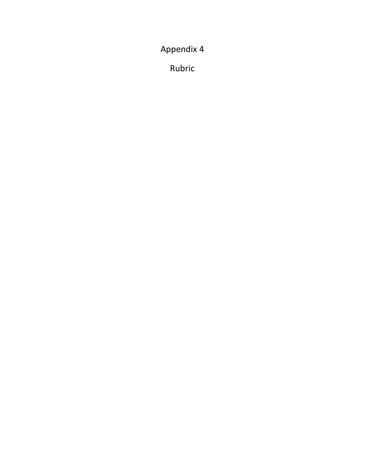Appendix 4

Rubric